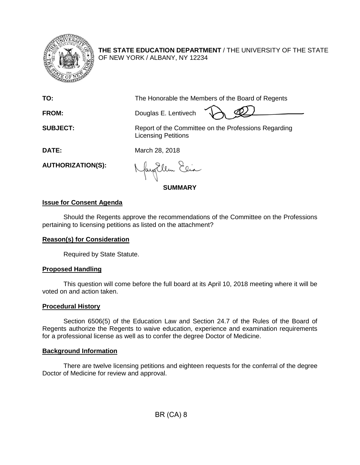

**THE STATE EDUCATION DEPARTMENT** / THE UNIVERSITY OF THE STATE OF NEW YORK / ALBANY, NY 12234

**TO:** The Honorable the Members of the Board of Regents

**FROM:** Douglas E. Lentivech

**SUBJECT:** Report of the Committee on the Professions Regarding Licensing Petitions

**DATE:** March 28, 2018

**AUTHORIZATION(S):**

fayEllen Elia

**SUMMARY**

# **Issue for Consent Agenda**

Should the Regents approve the recommendations of the Committee on the Professions pertaining to licensing petitions as listed on the attachment?

## **Reason(s) for Consideration**

Required by State Statute.

## **Proposed Handling**

This question will come before the full board at its April 10, 2018 meeting where it will be voted on and action taken.

## **Procedural History**

Section 6506(5) of the Education Law and Section 24.7 of the Rules of the Board of Regents authorize the Regents to waive education, experience and examination requirements for a professional license as well as to confer the degree Doctor of Medicine.

## **Background Information**

There are twelve licensing petitions and eighteen requests for the conferral of the degree Doctor of Medicine for review and approval.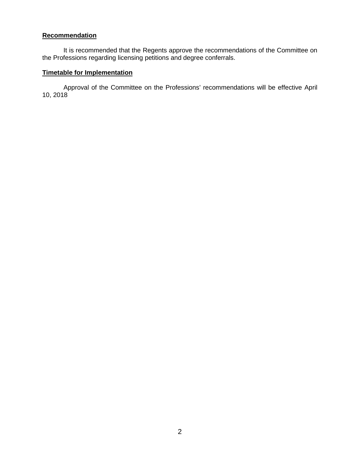# **Recommendation**

It is recommended that the Regents approve the recommendations of the Committee on the Professions regarding licensing petitions and degree conferrals.

# **Timetable for Implementation**

Approval of the Committee on the Professions' recommendations will be effective April 10, 2018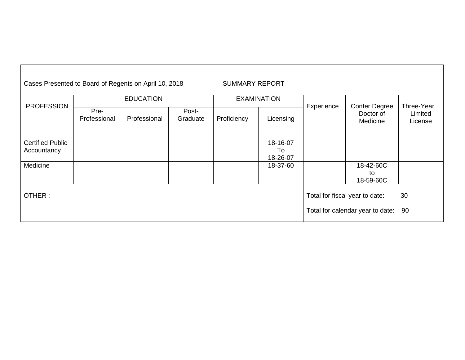| Cases Presented to Board of Regents on April 10, 2018<br><b>SUMMARY REPORT</b> |                      |              |                   |                    |                                |            |                                               |                                  |
|--------------------------------------------------------------------------------|----------------------|--------------|-------------------|--------------------|--------------------------------|------------|-----------------------------------------------|----------------------------------|
|                                                                                | <b>EDUCATION</b>     |              |                   | <b>EXAMINATION</b> |                                |            |                                               |                                  |
| <b>PROFESSION</b>                                                              | Pre-<br>Professional | Professional | Post-<br>Graduate | Proficiency        | Licensing                      | Experience | <b>Confer Degree</b><br>Doctor of<br>Medicine | Three-Year<br>Limited<br>License |
| <b>Certified Public</b><br>Accountancy                                         |                      |              |                   |                    | 18-16-07<br>To<br>18-26-07     |            |                                               |                                  |
| Medicine                                                                       |                      |              |                   |                    | 18-37-60                       |            | 18-42-60C<br>to<br>18-59-60C                  |                                  |
| OTHER:                                                                         |                      |              |                   |                    | Total for fiscal year to date: | 30         |                                               |                                  |
|                                                                                |                      |              |                   |                    |                                |            | Total for calendar year to date:              | 90                               |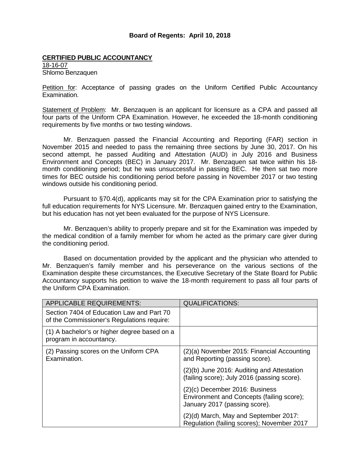#### **Board of Regents: April 10, 2018**

#### **CERTIFIED PUBLIC ACCOUNTANCY**

18-16-07 Shlomo Benzaquen

Petition for: Acceptance of passing grades on the Uniform Certified Public Accountancy Examination.

Statement of Problem: Mr. Benzaquen is an applicant for licensure as a CPA and passed all four parts of the Uniform CPA Examination. However, he exceeded the 18-month conditioning requirements by five months or two testing windows.

Mr. Benzaquen passed the Financial Accounting and Reporting (FAR) section in November 2015 and needed to pass the remaining three sections by June 30, 2017. On his second attempt, he passed Auditing and Attestation (AUD) in July 2016 and Business Environment and Concepts (BEC) in January 2017. Mr. Benzaquen sat twice within his 18 month conditioning period; but he was unsuccessful in passing BEC. He then sat two more times for BEC outside his conditioning period before passing in November 2017 or two testing windows outside his conditioning period.

Pursuant to §70.4(d), applicants may sit for the CPA Examination prior to satisfying the full education requirements for NYS Licensure. Mr. Benzaquen gained entry to the Examination, but his education has not yet been evaluated for the purpose of NYS Licensure.

Mr. Benzaquen's ability to properly prepare and sit for the Examination was impeded by the medical condition of a family member for whom he acted as the primary care giver during the conditioning period.

Based on documentation provided by the applicant and the physician who attended to Mr. Benzaquen's family member and his perseverance on the various sections of the Examination despite these circumstances, the Executive Secretary of the State Board for Public Accountancy supports his petition to waive the 18-month requirement to pass all four parts of the Uniform CPA Examination.

| <b>APPLICABLE REQUIREMENTS:</b>                                                         | <b>QUALIFICATIONS:</b>                                                                                         |
|-----------------------------------------------------------------------------------------|----------------------------------------------------------------------------------------------------------------|
| Section 7404 of Education Law and Part 70<br>of the Commissioner's Regulations require: |                                                                                                                |
| (1) A bachelor's or higher degree based on a<br>program in accountancy.                 |                                                                                                                |
| (2) Passing scores on the Uniform CPA<br>Examination.                                   | (2)(a) November 2015: Financial Accounting<br>and Reporting (passing score).                                   |
|                                                                                         | (2)(b) June 2016: Auditing and Attestation<br>(failing score); July 2016 (passing score).                      |
|                                                                                         | $(2)(c)$ December 2016: Business<br>Environment and Concepts (failing score);<br>January 2017 (passing score). |
|                                                                                         | (2)(d) March, May and September 2017:<br>Regulation (failing scores); November 2017                            |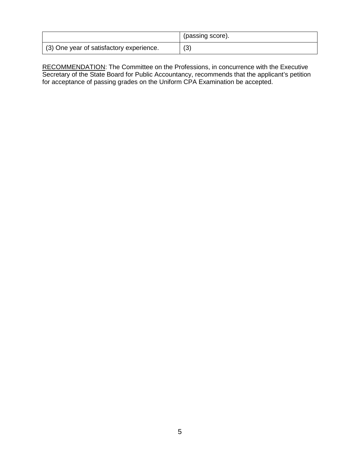|                                          | (passing score). |
|------------------------------------------|------------------|
| (3) One year of satisfactory experience. | (3)              |

RECOMMENDATION: The Committee on the Professions, in concurrence with the Executive Secretary of the State Board for Public Accountancy, recommends that the applicant's petition for acceptance of passing grades on the Uniform CPA Examination be accepted.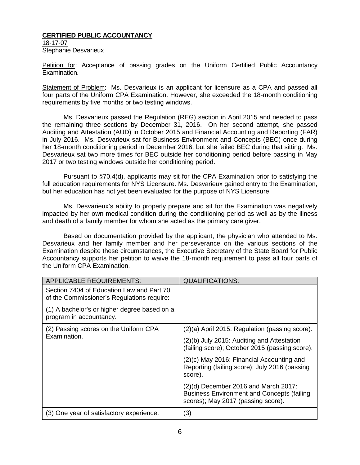### **CERTIFIED PUBLIC ACCOUNTANCY**

18-17-07 Stephanie Desvarieux

Petition for: Acceptance of passing grades on the Uniform Certified Public Accountancy Examination.

Statement of Problem: Ms. Desvarieux is an applicant for licensure as a CPA and passed all four parts of the Uniform CPA Examination. However, she exceeded the 18-month conditioning requirements by five months or two testing windows.

Ms. Desvarieux passed the Regulation (REG) section in April 2015 and needed to pass the remaining three sections by December 31, 2016. On her second attempt, she passed Auditing and Attestation (AUD) in October 2015 and Financial Accounting and Reporting (FAR) in July 2016. Ms. Desvarieux sat for Business Environment and Concepts (BEC) once during her 18-month conditioning period in December 2016; but she failed BEC during that sitting. Ms. Desvarieux sat two more times for BEC outside her conditioning period before passing in May 2017 or two testing windows outside her conditioning period.

Pursuant to §70.4(d), applicants may sit for the CPA Examination prior to satisfying the full education requirements for NYS Licensure. Ms. Desvarieux gained entry to the Examination, but her education has not yet been evaluated for the purpose of NYS Licensure.

Ms. Desvarieux's ability to properly prepare and sit for the Examination was negatively impacted by her own medical condition during the conditioning period as well as by the illness and death of a family member for whom she acted as the primary care giver.

Based on documentation provided by the applicant, the physician who attended to Ms. Desvarieux and her family member and her perseverance on the various sections of the Examination despite these circumstances, the Executive Secretary of the State Board for Public Accountancy supports her petition to waive the 18-month requirement to pass all four parts of the Uniform CPA Examination.

| <b>APPLICABLE REQUIREMENTS:</b>                                                         | <b>QUALIFICATIONS:</b>                                                                                                            |
|-----------------------------------------------------------------------------------------|-----------------------------------------------------------------------------------------------------------------------------------|
| Section 7404 of Education Law and Part 70<br>of the Commissioner's Regulations require: |                                                                                                                                   |
| (1) A bachelor's or higher degree based on a<br>program in accountancy.                 |                                                                                                                                   |
| (2) Passing scores on the Uniform CPA                                                   | (2)(a) April 2015: Regulation (passing score).                                                                                    |
| Examination.                                                                            | (2)(b) July 2015: Auditing and Attestation<br>(failing score); October 2015 (passing score).                                      |
|                                                                                         | (2)(c) May 2016: Financial Accounting and<br>Reporting (failing score); July 2016 (passing<br>score).                             |
|                                                                                         | $(2)(d)$ December 2016 and March 2017:<br><b>Business Environment and Concepts (failing</b><br>scores); May 2017 (passing score). |
| (3) One year of satisfactory experience.                                                | (3)                                                                                                                               |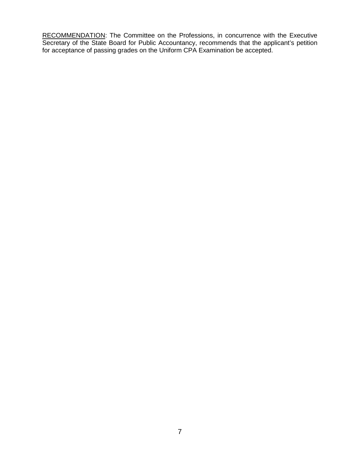RECOMMENDATION: The Committee on the Professions, in concurrence with the Executive Secretary of the State Board for Public Accountancy, recommends that the applicant's petition for acceptance of passing grades on the Uniform CPA Examination be accepted.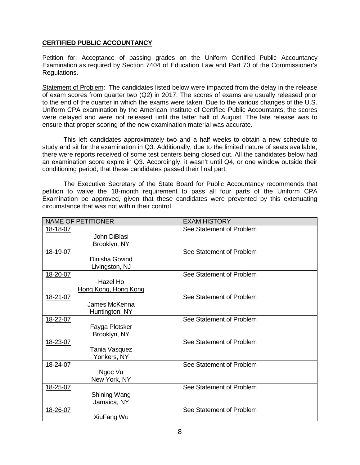## **CERTIFIED PUBLIC ACCOUNTANCY**

Petition for: Acceptance of passing grades on the Uniform Certified Public Accountancy Examination as required by Section 7404 of Education Law and Part 70 of the Commissioner's Regulations.

Statement of Problem: The candidates listed below were impacted from the delay in the release of exam scores from quarter two (Q2) in 2017. The scores of exams are usually released prior to the end of the quarter in which the exams were taken. Due to the various changes of the U.S. Uniform CPA examination by the American Institute of Certified Public Accountants, the scores were delayed and were not released until the latter half of August. The late release was to ensure that proper scoring of the new examination material was accurate.

This left candidates approximately two and a half weeks to obtain a new schedule to study and sit for the examination in Q3. Additionally, due to the limited nature of seats available, there were reports received of some test centers being closed out. All the candidates below had an examination score expire in Q3. Accordingly, it wasn't until Q4, or one window outside their conditioning period, that these candidates passed their final part.

The Executive Secretary of the State Board for Public Accountancy recommends that petition to waive the 18-month requirement to pass all four parts of the Uniform CPA Examination be approved, given that these candidates were prevented by this extenuating circumstance that was not within their control.

| <b>NAME OF PETITIONER</b> | <b>EXAM HISTORY</b>      |
|---------------------------|--------------------------|
| 18-18-07                  | See Statement of Problem |
| John DiBlasi              |                          |
| Brooklyn, NY              |                          |
| 18-19-07                  | See Statement of Problem |
| Dinisha Govind            |                          |
| Livingston, NJ            |                          |
| 18-20-07                  | See Statement of Problem |
| Hazel Ho                  |                          |
| Hong Kong, Hong Kong      |                          |
| 18-21-07                  | See Statement of Problem |
| James McKenna             |                          |
| Huntington, NY            |                          |
| 18-22-07                  | See Statement of Problem |
| Fayga Plotsker            |                          |
| Brooklyn, NY              |                          |
| 18-23-07                  | See Statement of Problem |
| Tania Vasquez             |                          |
| Yonkers, NY               |                          |
| 18-24-07                  | See Statement of Problem |
| Ngoc Vu                   |                          |
| New York, NY              |                          |
| 18-25-07                  | See Statement of Problem |
| Shining Wang              |                          |
| Jamaica, NY               |                          |
| 18-26-07                  | See Statement of Problem |
| XiuFang Wu                |                          |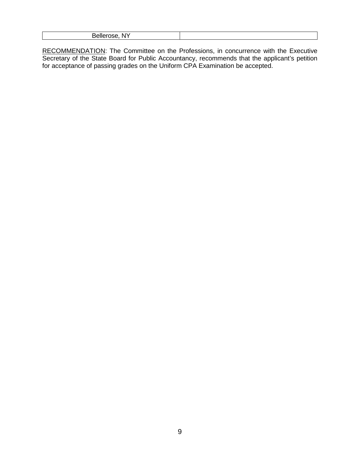|--|

RECOMMENDATION: The Committee on the Professions, in concurrence with the Executive Secretary of the State Board for Public Accountancy, recommends that the applicant's petition for acceptance of passing grades on the Uniform CPA Examination be accepted.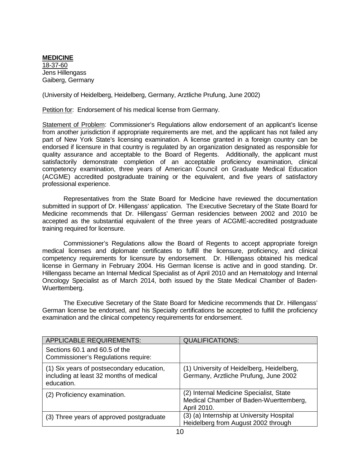#### **MEDICINE** 18-37-60 Jens Hillengass Gaiberg, Germany

(University of Heidelberg, Heidelberg, Germany, Arztliche Prufung, June 2002)

Petition for: Endorsement of his medical license from Germany.

Statement of Problem: Commissioner's Regulations allow endorsement of an applicant's license from another jurisdiction if appropriate requirements are met, and the applicant has not failed any part of New York State's licensing examination. A license granted in a foreign country can be endorsed if licensure in that country is regulated by an organization designated as responsible for quality assurance and acceptable to the Board of Regents. Additionally, the applicant must satisfactorily demonstrate completion of an acceptable proficiency examination, clinical competency examination, three years of American Council on Graduate Medical Education (ACGME) accredited postgraduate training or the equivalent, and five years of satisfactory professional experience.

Representatives from the State Board for Medicine have reviewed the documentation submitted in support of Dr. Hillengass' application. The Executive Secretary of the State Board for Medicine recommends that Dr. Hillengass' German residencies between 2002 and 2010 be accepted as the substantial equivalent of the three years of ACGME-accredited postgraduate training required for licensure.

Commissioner's Regulations allow the Board of Regents to accept appropriate foreign medical licenses and diplomate certificates to fulfill the licensure, proficiency, and clinical competency requirements for licensure by endorsement. Dr. Hillengass obtained his medical license in Germany in February 2004. His German license is active and in good standing. Dr. Hillengass became an Internal Medical Specialist as of April 2010 and an Hematology and Internal Oncology Specialist as of March 2014, both issued by the State Medical Chamber of Baden-Wuerttemberg.

The Executive Secretary of the State Board for Medicine recommends that Dr. Hillengass' German license be endorsed, and his Specialty certifications be accepted to fulfill the proficiency examination and the clinical competency requirements for endorsement.

| <b>APPLICABLE REQUIREMENTS:</b>                                                                    | <b>QUALIFICATIONS:</b>                                                                           |
|----------------------------------------------------------------------------------------------------|--------------------------------------------------------------------------------------------------|
| Sections 60.1 and 60.5 of the<br>Commissioner's Regulations require:                               |                                                                                                  |
| (1) Six years of postsecondary education,<br>including at least 32 months of medical<br>education. | (1) University of Heidelberg, Heidelberg,<br>Germany, Arztliche Prufung, June 2002               |
| (2) Proficiency examination.                                                                       | (2) Internal Medicine Specialist, State<br>Medical Chamber of Baden-Wuerttemberg,<br>April 2010. |
| (3) Three years of approved postgraduate                                                           | (3) (a) Internship at University Hospital<br>Heidelberg from August 2002 through                 |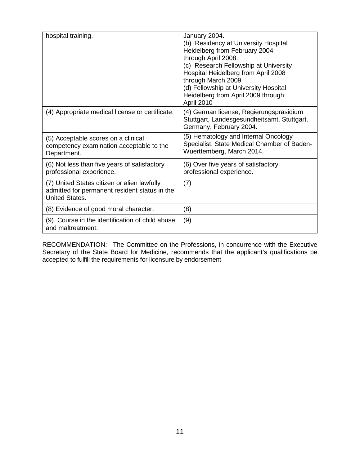| hospital training.                                                                                                    | January 2004.<br>(b) Residency at University Hospital<br>Heidelberg from February 2004<br>through April 2008.<br>(c) Research Fellowship at University<br>Hospital Heidelberg from April 2008<br>through March 2009<br>(d) Fellowship at University Hospital<br>Heidelberg from April 2009 through<br>April 2010 |
|-----------------------------------------------------------------------------------------------------------------------|------------------------------------------------------------------------------------------------------------------------------------------------------------------------------------------------------------------------------------------------------------------------------------------------------------------|
| (4) Appropriate medical license or certificate.                                                                       | (4) German license, Regierungspräsidium<br>Stuttgart, Landesgesundheitsamt, Stuttgart,<br>Germany, February 2004.                                                                                                                                                                                                |
| (5) Acceptable scores on a clinical<br>competency examination acceptable to the<br>Department.                        | (5) Hematology and Internal Oncology<br>Specialist, State Medical Chamber of Baden-<br>Wuerttemberg, March 2014.                                                                                                                                                                                                 |
| (6) Not less than five years of satisfactory<br>professional experience.                                              | (6) Over five years of satisfactory<br>professional experience.                                                                                                                                                                                                                                                  |
| (7) United States citizen or alien lawfully<br>admitted for permanent resident status in the<br><b>United States.</b> | (7)                                                                                                                                                                                                                                                                                                              |
| (8) Evidence of good moral character.                                                                                 | (8)                                                                                                                                                                                                                                                                                                              |
| (9) Course in the identification of child abuse<br>and maltreatment.                                                  | (9)                                                                                                                                                                                                                                                                                                              |

RECOMMENDATION: The Committee on the Professions, in concurrence with the Executive Secretary of the State Board for Medicine, recommends that the applicant's qualifications be accepted to fulfill the requirements for licensure by endorsement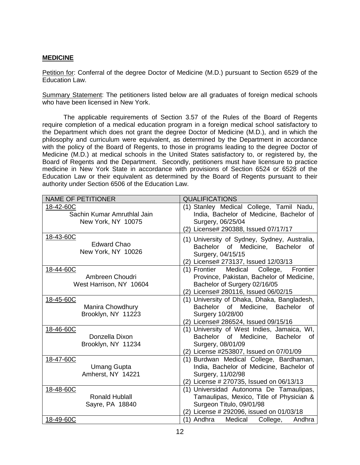#### **MEDICINE**

Petition for: Conferral of the degree Doctor of Medicine (M.D.) pursuant to Section 6529 of the Education Law.

Summary Statement: The petitioners listed below are all graduates of foreign medical schools who have been licensed in New York.

The applicable requirements of Section 3.57 of the Rules of the Board of Regents require completion of a medical education program in a foreign medical school satisfactory to the Department which does not grant the degree Doctor of Medicine (M.D.), and in which the philosophy and curriculum were equivalent, as determined by the Department in accordance with the policy of the Board of Regents, to those in programs leading to the degree Doctor of Medicine (M.D.) at medical schools in the United States satisfactory to, or registered by, the Board of Regents and the Department. Secondly, petitioners must have licensure to practice medicine in New York State in accordance with provisions of Section 6524 or 6528 of the Education Law or their equivalent as determined by the Board of Regents pursuant to their authority under Section 6506 of the Education Law.

| <b>NAME OF PETITIONER</b>                                      | <b>QUALIFICATIONS</b>                                                                                                                                                |
|----------------------------------------------------------------|----------------------------------------------------------------------------------------------------------------------------------------------------------------------|
| 18-42-60C<br>Sachin Kumar Amruthlal Jain<br>New York, NY 10075 | (1) Stanley Medical College, Tamil Nadu,<br>India, Bachelor of Medicine, Bachelor of<br>Surgery, 06/25/04<br>(2) License# 290388, Issued 07/17/17                    |
| 18-43-60C<br><b>Edward Chao</b><br>New York, NY 10026          | (1) University of Sydney, Sydney, Australia,<br>Bachelor of Medicine, Bachelor of<br>Surgery, 04/15/15<br>(2) License# 273137, Issued 12/03/13                       |
| 18-44-60C<br>Ambreen Choudri<br>West Harrison, NY 10604        | Frontier<br>Medical<br>College,<br>(1) Frontier<br>Province, Pakistan, Bachelor of Medicine,<br>Bachelor of Surgery 02/16/05<br>(2) License# 280116, Issued 06/02/15 |
| 18-45-60C<br>Manira Chowdhury<br>Brooklyn, NY 11223            | (1) University of Dhaka, Dhaka, Bangladesh,<br>Bachelor of Medicine, Bachelor<br>0f<br><b>Surgery 10/28/00</b><br>(2) License# 286524, Issued 09/15/16               |
| 18-46-60C<br>Donzella Dixon<br>Brooklyn, NY 11234              | (1) University of West Indies, Jamaica, WI,<br>Bachelor<br>of Medicine,<br><b>Bachelor</b><br>οf<br>Surgery, 08/01/09<br>(2) License #253807, Issued on 07/01/09     |
| 18-47-60C<br><b>Umang Gupta</b><br>Amherst, NY 14221           | (1) Burdwan Medical College, Bardhaman,<br>India, Bachelor of Medicine, Bachelor of<br>Surgery, 11/02/98<br>(2) License # 270735, Issued on 06/13/13                 |
| 18-48-60C<br><b>Ronald Hublall</b><br>Sayre, PA 18840          | (1) Universidad Autonoma De Tamaulipas,<br>Tamaulipas, Mexico, Title of Physician &<br>Surgeon Titulo, 09/01/98<br>(2) License # 292096, issued on 01/03/18          |
| 18-49-60C                                                      | Medical College,<br>(1) Andhra<br>Andhra                                                                                                                             |